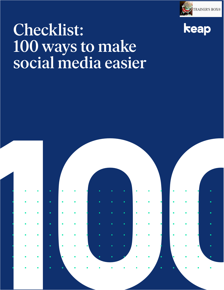



# Checklist: 100 ways to make social media easier

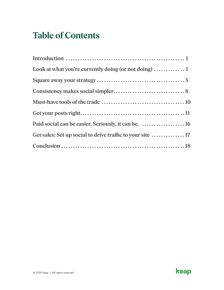# **Table of Contents**

| Look at what you're currently doing (or not doing) $\dots\dots\dots\dots 1$ |  |
|-----------------------------------------------------------------------------|--|
|                                                                             |  |
|                                                                             |  |
|                                                                             |  |
|                                                                             |  |
| Paid social can be easier. Seriously, it can be.  16                        |  |
|                                                                             |  |
|                                                                             |  |

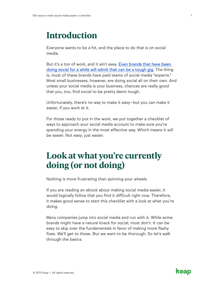### <span id="page-2-0"></span>**Introduction**

Everyone wants to be a hit, and the place to do that is on social media.

But it's a ton of work, and it ain't easy. [Even brands that have been](https://www.inc.com/michelle-cheng/biggest-corporate-social-media-fails-2018.html)  [doing social for a while will admit that can be a tough gig](https://www.inc.com/michelle-cheng/biggest-corporate-social-media-fails-2018.html). The thing is, most of these brands have paid teams of social media "experts." Most small businesses, however, are doing social all on their own. And unless your social media is your business, chances are really good that you, too, find social to be pretty damn tough.

Unfortunately, there's no way to make it easy—but you can make it easier, if you work at it.

For those ready to put in the work, we put together a checklist of ways to approach your social media account to make sure you're spending your energy in the most effective way. Which means it will be easier. Not easy; just easier.

### **Look at what you're currently doing (or not doing)**

Nothing is more frustrating than spinning your wheels

If you are reading an ebook about making social media easier, it would logically follow that you find it difficult right now. Therefore, it makes good sense to start this checklist with a look at what you're doing.

Many companies jump into social media and run with it. While some brands might have a natural knack for social, most don't. It can be easy to skip over the fundamentals in favor of making more flashy fixes. We'll get to those. But we want to be thorough. So let's walk through the basics.

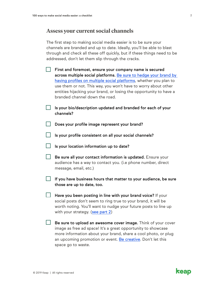#### **Assess your current social channels**

The first step to making social media easier is to be sure your channels are branded and up to date. Ideally, you'll be able to blast through and check all these off quickly, but if these things need to be addressed, don't let them slip through the cracks.

| First and foremost, ensure your company name is secured            |
|--------------------------------------------------------------------|
| across multiple social platforms. Be sure to hedge your brand by   |
| having profiles on multiple social platforms, whether you plan to  |
| use them or not. This way, you won't have to worry about other     |
| entities hijacking your brand, or losing the opportunity to have a |
| branded channel down the road.                                     |
|                                                                    |

| $\Box$ Is your bio/description updated and branded for each of your |  |  |  |
|---------------------------------------------------------------------|--|--|--|
| channels?                                                           |  |  |  |

- Does your profile image represent your brand?
- Is your profile consistent on all your social channels?
- $\Box$  Is your location information up to date?
- $\Box$  Be sure all your contact information is updated. Ensure your audience has a way to contact you. (i.e phone number, direct message, email, etc.)
- $\Box$  If you have business hours that matter to your audience, be sure those are up to date, too.
- $\Box$  Have you been posting in line with your brand voice? If your social posts don't seem to ring true to your brand, it will be worth noting. You'll want to nudge your future posts to line up with your strategy. [\(see part 2](#page-6-0))
- $\Box$  Be sure to upload an awesome cover image. Think of your cover image as free ad space! It's a great opportunity to showcase more information about your brand, share a cool photo, or plug an upcoming promotion or event. [Be creative](https://www.canva.com/learn/50-creative-facebook-covers-to-inspire-you/). Don't let this space go to waste.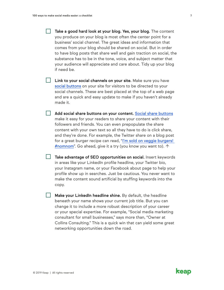Take a good hard look at your blog. Yes, your blog. The content you produce on your blog is most often the center point for a business' social channel. The great ideas and information that comes from your blog should be shared on social. But in order to have blog posts that share well and gain traction on social, the substance has to be in the tone, voice, and subject matter that your audience will appreciate and care about. Tidy up your blog if need be.

 $\Box$  Link to your social channels on your site. Make sure you have [social buttons](https://wordpress.org/plugins/tags/social-buttons/) on your site for visitors to be directed to your social channels. These are best placed at the top of a web page and are a quick and easy update to make if you haven't already made it.

**Add social share buttons on your content.** [Social share buttons](https://wordpress.org/plugins/tags/social-share/) make it easy for your readers to share your content with their followers and friends. You can even prepopulate the share content with your own text so all they have to do is click share, and they're done. For example, the Twitter share on a blog post for a great burger recipe can read, "[I'm sold on veggie burgers!](https://twitter.com/login?redirect_after_login=%2Fhome%2F%3Fstatus%3DI%25E2%2580%2599m%2520sold%2520on%2520veggie%2520burgers%21%2520%2523nomnom)  [#nomnom"](https://twitter.com/login?redirect_after_login=%2Fhome%2F%3Fstatus%3DI%25E2%2580%2599m%2520sold%2520on%2520veggie%2520burgers%21%2520%2523nomnom). Go ahead, give it a try (you know you want to). ↑

Take advantage of SEO opportunities on social. Insert keywords in areas like your LinkedIn profile headline, your Twitter bio, your Instagram name, or your Facebook about page to help your profile show up in searches. Just be cautious. You never want to make the content sound artificial by stuffing keywords into the copy.

**Make your LinkedIn headline shine.** By default, the headline beneath your name shows your current job title. But you can change it to include a more robust description of your career or your special expertise. For example, "Social media marketing consultant for small businesses," says more than, "Owner at Collins Consulting." This is a quick win that can yield some great networking opportunities down the road.

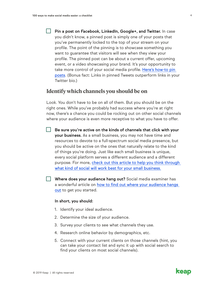Twitter bio.)

Pin a post on Facebook, LinkedIn, Google+, and Twitter. In case you didn't know, a pinned post is simply one of your posts that you've permanently locked to the top of your stream on your profile. The point of the pinning is to showcase something you want to guarantee that visitors will see when they view your profile. The pinned post can be about a current offer, upcoming event, or a video showcasing your brand. It's your opportunity to take more control of your social media profile. [Here's how-to pin](https://www.linkedin.com/pulse/how-pin-posts-social-media-more-engagement-dhariana-lozano/)  [posts.](https://www.linkedin.com/pulse/how-pin-posts-social-media-more-engagement-dhariana-lozano/) (Bonus fact: Links in pinned Tweets outperform links in your

#### **Identify which channels you should be on**

Look. You don't have to be on all of them. But you should be on the right ones. While you've probably had success where you're at right now, there's a chance you could be rocking out on other social channels where your audience is even more receptive to what you have to offer.

- Be sure you're active on the kinds of channels that click with your your business. As a small business, you may not have time and resources to devote to a full-spectrum social media presence, but you should be active on the ones that naturally relate to the kind of things you're doing. Just like each small business is unique, every social platform serves a different audience and a different purpose. For more, check out this article to help you think through [what kind of social will work best for your small business.](https://keap.com/business-success-blog/marketing/social-media/how-to-choose-social-media-that-fits-your-small-business)
- Where does your audience hang out? Social media examiner has a wonderful article on [how to find out where your audience hangs](https://www.socialmediaexaminer.com/how-to-research-and-locate-your-audience-using-social-media/)  [out](https://www.socialmediaexaminer.com/how-to-research-and-locate-your-audience-using-social-media/) to get you started.

#### In short, you should:

- 1. Identify your ideal audience.
- 2. Determine the size of your audience.
- 3. Survey your clients to see what channels they use.
- 4. Research online behavior by demographics, etc.
- 5. Connect with your current clients on those channels (hint, you can take your contact list and sync it up with social search to find your clients on most social channels).

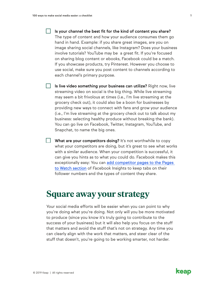<span id="page-6-0"></span> $\Box$  Is your channel the best fit for the kind of content you share? The type of content and how your audience consumes them go hand in hand. Example: if you share great images, are you on image sharing social channels, like Instagram? Does your business involve tutorials? YouTube may be a great fit. If you're focused on sharing blog content or ebooks, Facebook could be a match. If you showcase products, try Pinterest. However you choose to use social, make sure you post content to channels according to each channel's primary purpose.

 $\Box$  Is live video something your business can utilize? Right now, live streaming video on social is the big thing. While live streaming may seem a bit frivolous at times (i.e., I'm live streaming at the grocery check out), it could also be a boon for businesses by providing new ways to connect with fans and grow your audience (i.e., I'm live streaming at the grocery check out to talk about my business: selecting healthy produce without breaking the bank). You can go live on Facebook, Twitter, Instagram, YouTube, and Snapchat, to name the big ones.

 $\Box$  What are your competitors doing? It's not worthwhile to copy what your competitors are doing, but it's great to see what works with a similar audience. When your competition is successful, it can give you hints as to what you could do. Facebook makes this exceptionally easy: You can [add competitor pages to the Pages](https://www.socialmediaexaminer.com/facebooks-pages-to-watch/)  [to Watch section](https://www.socialmediaexaminer.com/facebooks-pages-to-watch/) of Facebook Insights to keep tabs on their follower numbers and the types of content they share.

### **Square away your strategy**

Your social media efforts will be easier when you can point to why you're doing what you're doing. Not only will you be more motivated to produce (since you know it's truly going to contribute to the success of your business) but it will also help you focus on the stuff that matters and avoid the stuff that's not on strategy. Any time you can clearly align with the work that matters, and steer clear of the stuff that doesn't, you're going to be working smarter, not harder.

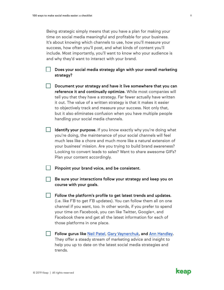Being strategic simply means that you have a plan for making your time on social media meaningful and profitable for your business. It's about knowing which channels to use, how you'll measure your success, how often you'll post, and what kinds of content you'll include. Most importantly, you'll want to know who your audience is and why they'd want to interact with your brand.

Does your social media strategy align with your overall marketing strategy?

 $\Box$  Document your strategy and have it live somewhere that you can reference it and continually optimize. While most companies will tell you that they have a strategy. Far fewer actually have written it out. The value of a written strategy is that it makes it easier to objectively track and measure your success. Not only that, but it also eliminates confusion when you have multiple people handling your social media channels.

 $\Box$  Identify your purpose. If you know exactly why you're doing what you're doing, the maintenance of your social channels will feel much less like a chore and much more like a natural extension of your business' mission. Are you trying to build brand awareness? Looking to convert leads to sales? Want to share awesome GIFs? Plan your content accordingly.

Pinpoint your brand voice, and be consistent.

Be sure your interactions follow your strategy and keep you on course with your goals.

**Follow the platform's profile to get latest trends and updates.** (i.e. like FB to get FB updates). You can follow them all on one channel if you want, too. In other words, if you prefer to spend your time on Facebook, you can like Twitter, Google+, and Facebook there and get all the latest information for each of those platforms in one place.

**Follow gurus like [Neil Patel,](https://neilpatel.com/) [Gary Vaynerchuk](https://www.garyvaynerchuk.com/), and [Ann Handley](https://annhandley.com/).** They offer a steady stream of marketing advice and insight to help you up to date on the latest social media strategies and trends.

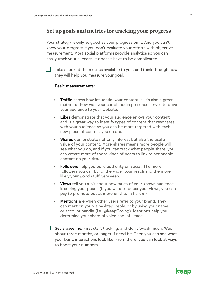#### **Set up goals and metrics for tracking your progress**

Your strategy is only as good as your progress on it. And you can't know your progress if you don't evaluate your efforts with objective measurement. Most social platforms provide analytics so you can easily track your success. It doesn't have to be complicated.

Take a look at the metrics available to you, and think through how they will help you measure your goal.

#### Basic measurements:

- Traffic shows how influential your content is. It's also a great metric for how well your social media presence serves to drive your audience to your website.
- Likes demonstrate that your audience enjoys your content and is a great way to identify types of content that resonates with your audience so you can be more targeted with each new piece of content you create.
- Shares demonstrate not only interest but also the useful value of your content. More shares means more people will see what you do, and if you can track what people share, you can create more of those kinds of posts to link to actionable content on your site.
- Followers help you build authority on social. The more followers you can build, the wider your reach and the more likely your good stuff gets seen.
- Views tell you a bit about how much of your known audience is seeing your posts. (If you want to boost your views, you can pay to promote posts; more on that in [Part 6.](#page-17-0))
- Mentions are when other users refer to your brand. They can mention you via hashtag, reply, or by using your name or account handle (i.e. @KeapGroing). Mentions help you determine your share of voice and influence.
- $\Box$  Set a baseline. First start tracking, and don't tweak much. Wait about three months, or longer if need be. Then you can see what your basic interactions look like. From there, you can look at ways to boost your numbers.

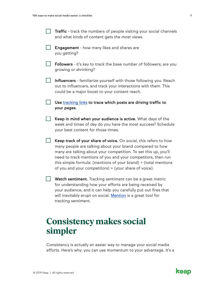<span id="page-9-0"></span>

| <b>Traffic</b> - track the numbers of people visiting your social channels |  |
|----------------------------------------------------------------------------|--|
| and what kinds of content gets the most views.                             |  |

- $\Box$  Engagement how many likes and shares are you getting?
- $\Box$  Followers it's key to track the base number of followers; are you growing or shrinking?
- Influencers familiarize yourself with those following you. Reach out to influencers, and track your interactions with them. This could be a major boost to your content reach.
- $\Box$  Use [tracking links](https://www.orbitmedia.com/blog/google-analytics-url-builder/) to trace which posts are driving traffic to your pages.
- $\Box$  Keep in mind when your audience is active. What days of the week and times of day do you have the most success? Schedule your best content for those times.
- $\Box$  Keep track of your share of voice. On social, this refers to how many people are talking about your brand compared to how many are talking about your competition. To set this up, you'll need to track mentions of you and your competitors, then run this simple formula: (mentions of your brand)  $\div$  (total mentions of you and your competitors) = (your share of voice).
- $\Box$  Watch sentiment. Tracking sentiment can be a great metric for understanding how your efforts are being received by your audience, and it can help you carefully put out fires that will inevitably erupt on social. [Mention](https://mention.com/en/) is a great tool for tracking sentiment.

### **Consistency makes social simpler**

Consistency is actually an easier way to manage your social media efforts. Here's why: you can use momentum to your advantage. It's a

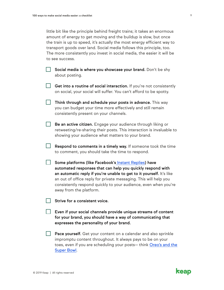little bit like the principle behind freight trains; it takes an enormous amount of energy to get moving and the buildup is slow, but once the train is up to speed, it's actually the most energy efficient way to transport goods over land. Social media follows this principle, too. The more consistently you invest in social media, the easier it will be to see success.

- $\Box$  Social media is where you showcase your brand. Don't be shy about posting.
- $\Box$  Get into a routine of social interaction. If you're not consistently on social, your social will suffer. You can't afford to be spotty.
- $\Box$  Think through and schedule your posts in advance. This way you can budget your time more effectively and still remain consistently present on your channels.
- **Be an active citizen.** Engage your audience through liking or retweeting/re-sharing their posts. This interaction is invaluable to showing your audience what matters to your brand.
- $\Box$  Respond to comments in a timely way. If someone took the time to comment, you should take the time to respond.
- Some platforms (like Facebook's [Instant Replies](https://www.facebook.com/help/www/1615627532020480)) have automated responses that can help you quickly respond with an automatic reply if you're unable to get to it yourself. It's like an out of office reply for private messaging. This will help you consistently respond quickly to your audience, even when you're away from the platform.
- $\vert \ \vert$  Strive for a consistent voice.
- $\Box$  Even if your social channels provide unique streams of content for your brand, you should have a way of communicating that expresses the personality of your brand.
- **Pace yourself.** Get your content on a calendar and also sprinkle impromptu content throughout. It always pays to be on your toes, even if you are scheduling your posts— think [Oreo's and the](https://www.businessinsider.com/oreos-super-bowl-power-outage-tweet-was-18-months-in-the-making-2013-3)  [Super Bowl.](https://www.businessinsider.com/oreos-super-bowl-power-outage-tweet-was-18-months-in-the-making-2013-3)

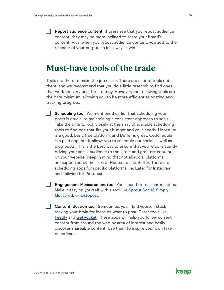<span id="page-11-0"></span>**Repost audience content.** If users see that you repost audience content, they may be more inclined to share your brand's content. Plus, when you repost audience content, you add to the richness of your output, so it's always a win.

### **Must-have tools of the trade**

Tools are there to make the job easier. There are a lot of tools out there, and we recommend that you do a little research to find ones that work the very best for strategy. However, the following tools are the bare minimum, allowing you to be more efficient at posting and tracking progress.

Scheduling tool: We mentioned earlier that scheduling your posts is crucial to maintaining a consistent approach to social. Take the time to look closely at the array of available scheduling tools to find one that fits your budget and your needs. [Hootsuite](https://hootsuite.com/) is a good, basic free platform, and [Buffer](https://buffer.com/) is great. [CoSchedule](https://coschedule.com/)  is a paid app, but it allows you to schedule out social as well as blog posts. This is the best way to ensure that you're consistently driving your social audience to the latest and greatest content on your website. Keep in mind that not all social platforms are supported by the likes of Hootsuite and Buffer. There are scheduling apps for specific platforms, i.e. Later for Instagram and Tailwind for Pinterest.

Engagement Measurement tool: You'll need to track interactions. Make it easy on yourself with a tool like [Sprout Social](https://sproutsocial.com/), [Simply](https://sproutsocial.com/simply-measured/)  [Measured,](https://sproutsocial.com/simply-measured/) or [Oktopost](https://www.oktopost.com/).

**Content Ideation tool:** Sometimes, you'll find yourself stuck racking your brain for ideas on what to post. Enter tools lik[e](https://feedly.com/i/welcome) [Feedly](https://feedly.com/i/welcome) and [GetPocket](https://getpocket.com/). These apps will help you follow current content from around the web by area of interest and easily discover shareable content. Use them to inspire your own take on an issue.

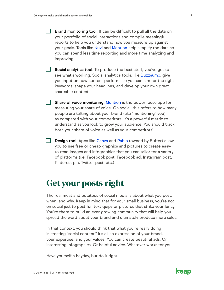<span id="page-12-0"></span> $\Box$  Brand monitoring tool: It can be difficult to pull all the data on your portfolio of social interactions and compile meaningful reports to help you understand how you measure up against your goals. Tools like [Nuvi](https://www.nuvi.com/) and [Mention](https://mention.com/en/) help simplify the data so you can spend less time reporting and more time analyzing and improving.

 $\Box$  Social analytics tool: To produce the best stuff, you've got to see what's working. Social analytics tools, like [Buzzsumo](https://buzzsumo.com/), give you input on how content performs so you can aim for the right keywords, shape your headlines, and develop your own great shareable content.

 $\Box$  Share of voice monitoring: [Mention](https://mention.com/en/) is the powerhouse app for measuring your share of voice. On social, this refers to how many people are talking about your brand (aka "mentioning" you) as compared with your competitors. It's a powerful metric to understand as you look to grow your audience. You should track both your share of voice as well as your competitors'.

 $\Box$  Design tool: Apps like [Canva](https://www.canva.com/) and [Pablo](https://pablo.buffer.com/) (owned by Buffer) allow you to use free or cheap graphics and pictures to create easyto-read images and infographics that you can tailor for a variety of platforms (i.e. Facebook post, Facebook ad, Instagram post, Pinterest pin, Twitter post, etc.)

# **Get your posts right**

The real meat and potatoes of social media is about what you post, when, and why. Keep in mind that for your small business, you're not on social just to post fun text quips or pictures that strike your fancy. You're there to build an ever-growing community that will help you spread the word about your brand and ultimately produce more sales.

In that context, you should think that what you're really doing is creating "social content." It's all an expression of your brand, your expertise, and your values. You can create beautiful ads. Or interesting infographics. Or helpful advice. Whatever works for you.

Have yourself a heyday, but do it right.

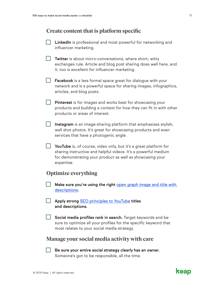### **Create content that is platform specific**

| <b>LinkedIn</b> is professional and most powerful for networking and |
|----------------------------------------------------------------------|
| influencer marketing.                                                |

- **Twitter** is about micro-conversations, where short, witty exchanges rule. Article and blog post sharing does well here, and it, too is excellent for influencer marketing.
- $\Box$  Facebook is a less formal space great for dialogue with your network and is a powerful space for sharing images, infographics, articles, and blog posts.
- **Pinterest** is for images and works best for showcasing your products and building a context for how they can fit in with other products or areas of interest.
- $\Box$  Instagram is an image-sharing platform that emphasizes stylish, well shot photos. It's great for showcasing products and even services that have a photogenic angle.
- $\Box$  YouTube is, of course, video only, but it's a great platform for sharing instructive and helpful videos. It's a powerful medium for demonstrating your product as well as showcasing your expertise.

### **Optimize everything**

- Make sure you're using the right [open graph image and title with](https://neilpatel.com/blog/open-graph-meta-tags/)  [descriptions](https://neilpatel.com/blog/open-graph-meta-tags/).
- **Apply strong [SEO principles to YouTube](https://backlinko.com/how-to-rank-youtube-videos) titles** and descriptions.
- Social media profiles rank in search. Target keywords and be sure to optimize all your profiles for the specific keyword that most relates to your social media strategy.

#### **Manage your social media activity with care**

 $\Box$  Be sure your entire social strategy clearly has an owner. Someone's got to be responsible, all the time.

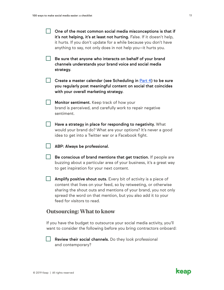| One of the most common social media misconceptions is that if           |
|-------------------------------------------------------------------------|
| it's not helping, it's at least not hurting. False. If it doesn't help, |
| it hurts. If you don't update for a while because you don't have        |
| anything to say, not only does in not help you-it hurts you.            |

- Be sure that anyone who interacts on behalf of your brand channels understands your brand voice and social media strategy.
- $\Box$  Create a master calendar (see Scheduling in [Part 4](#page-11-0)) to be sure you regularly post meaningful content on social that coincides with your overall marketing strategy.
- **Monitor sentiment.** Keep track of how your brand is perceived, and carefully work to repair negative sentiment.
- $\Box$  Have a strategy in place for responding to negativity. What would your brand do? What are your options? It's never a good idea to get into a Twitter war or a Facebook fight.
	- ABP: Always be professional.
- $\Box$  Be conscious of brand mentions that get traction. If people are buzzing about a particular area of your business, it's a great way to get inspiration for your next content.
- $\Box$  Amplify positive shout outs. Every bit of activity is a piece of content that lives on your feed, so by retweeting, or otherwise sharing the shout outs and mentions of your brand, you not only spread the word on that mention, but you also add it to your feed for visitors to read.

#### **Outsourcing: What to know**

If you have the budget to outsource your social media activity, you'll want to consider the following before you bring contractors onboard:

Review their social channels. Do they look professional and contemporary?

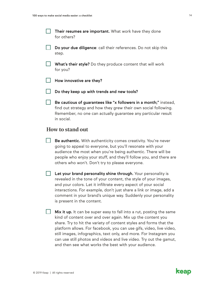- **Their resumes are important.** What work have they done for others?
- $\Box$  Do your due diligence: call their references. Do not skip this step.
- $\Box$  What's their style? Do they produce content that will work for you?
- $\Box$  How innovative are they?
	- Do they keep up with trends and new tools?
- $\Box$  Be cautious of guarantees like "x followers in a month;" instead, find out strategy and how they grew their own social following. Remember, no one can actually guarantee any particular result in social.

#### **How to stand out**

- Be authentic. With authenticity comes creativity. You're never going to appeal to everyone, but you'll resonate with your audience the most when you're being authentic. There will be people who enjoy your stuff, and they'll follow you, and there are others who won't. Don't try to please everyone.
- **Let your brand personality shine through.** Your personality is revealed in the tone of your content, the style of your images, and your colors. Let it infiltrate every aspect of your social interactions. For example, don't just share a link or image, add a comment in your brand's unique way. Suddenly your personality is present in the content.
- $\Box$  Mix it up. It can be super easy to fall into a rut, posting the same kind of content over and over again. Mix up the content you share. Try to hit the variety of content styles and forms that the platform allows. For facebook, you can use gifs, video, live video, still images, infographics, text only, and more. For Instagram you can use still photos and videos and live video. Try out the gamut, and then see what works the best with your audience.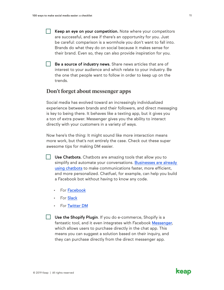- $\Box$  Keep an eye on your competition. Note where your competitors are successful, and see if there's an opportunity for you. Just be careful: comparison is a wormhole you don't want to fall into. Brands do what they do on social because it makes sense for their brand. Even so, they can also provide inspiration for you.
- $\Box$  Be a source of industry news. Share news articles that are of interest to your audience and which relate to your industry. Be the one that people want to follow in order to keep up on the trends.

#### **Don't forget about messenger apps**

Social media has evolved toward an increasingly individualized experience between brands and their followers, and direct messaging is key to being there. It behaves like a texting app, but it gives you a ton of extra power. Messenger gives you the ability to interact directly with your customers in a variety of ways.

Now here's the thing: It might sound like more interaction means more work, but that's not entirely the case. Check out these super awesome tips for making DM easier.

- Use Chatbots. Chatbots are amazing tools that allow you to simplify and automate your conversations. Businesses are already [using chatbots](https://smallbiztrends.com/2016/07/chatbot-for-business.html) to make communications faster, more efficient, and more personalized. Chatfuel, for example, can help you build a Facebook bot without having to know any code.
	- **For [Facebook](https://developers.facebook.com/blog/post/2016/04/12/bots-for-messenger/)**
	- **For [Slack](https://slack.com/apps/category/At0MQP5BEF-bots)**
	- For [Twitter DM](https://blog.twitter.com/marketing/en_us/topics/product-news/2016/speed-up-customer-service-with-quick-replies-welcome-messages.html)
- $\Box$  Use the Shopify Plugin. If you do e-commerce, Shopify is a fantastic tool, and it even integrates with Facebook [Messenger](https://www.shopify.com/messenger), which allows users to purchase directly in the chat app. This means you can suggest a solution based on their inquiry, and they can purchase directly from the direct messenger app.

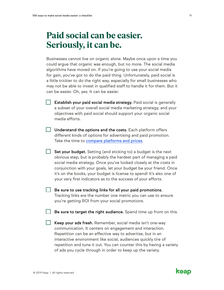# <span id="page-17-0"></span>**Paid social can be easier. Seriously, it can be.**

Businesses cannot live on organic alone. Maybe once upon a time you could argue that organic was enough, but no more. The social media algorithms have moved on. If you're going to use your social media for gain, you've got to do the paid thing. Unfortunately, paid social is a little trickier to do the right way, especially for small businesses who may not be able to invest in qualified staff to handle it for them. But it can be easier. Oh, yes. It can be easier.

- $\Box$  Establish your paid social media strategy. Paid social is generally a subset of your overall social media marketing strategy, and your objectives with paid social should support your organic social media efforts.
- $\Box$  Understand the options and the costs. Each platform offers different kinds of options for advertising and paid promotion. Take the time to [compare platforms and prices.](http://www.cpcstrategy.com/blog/2016/07/social-media-advertising-platform-for-retailers/)
- $\Box$  Set your budget. Setting (and sticking to) a budget is the next obvious step, but is probably the hardest part of managing a paid social media strategy. Once you've looked closely at the costs in conjunction with your goals, let your budget be your friend. Once it's on the books, your budget is license to spend! It's also one of your very first indicators as to the success of your efforts.
- $\vert \ \vert$  Be sure to use tracking links for all your paid promotions. Tracking links are the number one metric you can use to ensure you're getting ROI from your social promotions.

 $\Box$  Be sure to target the right audience. Spend time up front on this.

 $\Box$  Keep your ads fresh. Remember, social media isn't one-way communication. It centers on engagement and interaction. Repetition can be an effective way to advertise, but in an interactive environment like social, audiences quickly tire of repetition and tune it out. You can counter this by having a variety of ads you cycle through in order to keep up the variety.

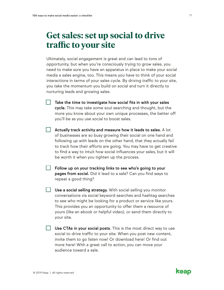### <span id="page-18-0"></span>**Get sales: set up social to drive traffic to your site**

Ultimately, social engagement is great and can lead to tons of opportunity, but when you're consciously trying to grow sales, you need to make sure you have an apparatus in place to make your social media a sales engine, too. This means you have to think of your social interactions in terms of your sales cycle. By driving traffic to your site, you take the momentum you build on social and turn it directly to nurturing leads and growing sales.

- Take the time to investigate how social fits in with your sales cycle. This may take some soul searching and thought, but the more you know about your own unique processes, the better off you'll be as you use social to boost sales.
- $\vert \ \vert$  Actually track activity and measure how it leads to sales. A lot of businesses are so busy growing their social on one hand and following up with leads on the other hand, that they actually fail to track how their efforts are going. You may have to get creative to find a way to intuit how social influences your sales, but it will be worth it when you tighten up the process.
	- Follow up on your tracking links to see who's going to your pages from social. Did it lead to a sale? Can you find ways to repeat a good thing?
- $\Box$  Use a social selling strategy. With social selling you monitor conversations via social keyword searches and hashtag searches to see who might be looking for a product or service like yours. This provides you an opportunity to offer them a resource of yours (like an ebook or helpful video), or send them directly to your site.
- $\Box$  Use CTAs in your social posts. This is the most direct way to use social to drive traffic to your site. When you post new content, invite them to go listen now! Or download here! Or find out more here! With a great call to action, you can move your audience toward a sale.